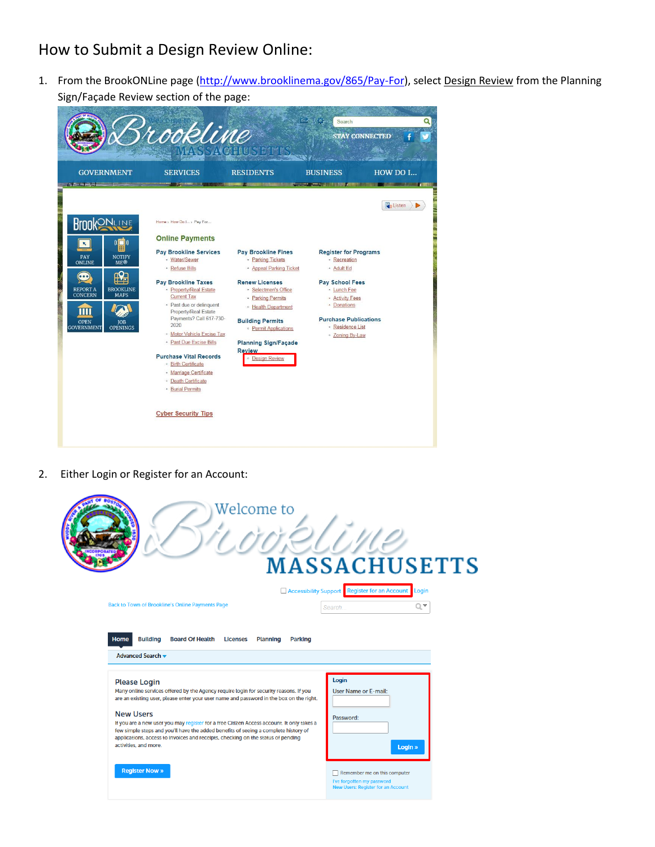# How to Submit a Design Review Online:

1. From the BrookONLine page [\(http://www.brooklinema.gov/865/Pay-For\)](http://www.brooklinema.gov/865/Pay-For), select Design Review from the Planning Sign/Façade Review section of the page:



2. Either Login or Register for an Account:

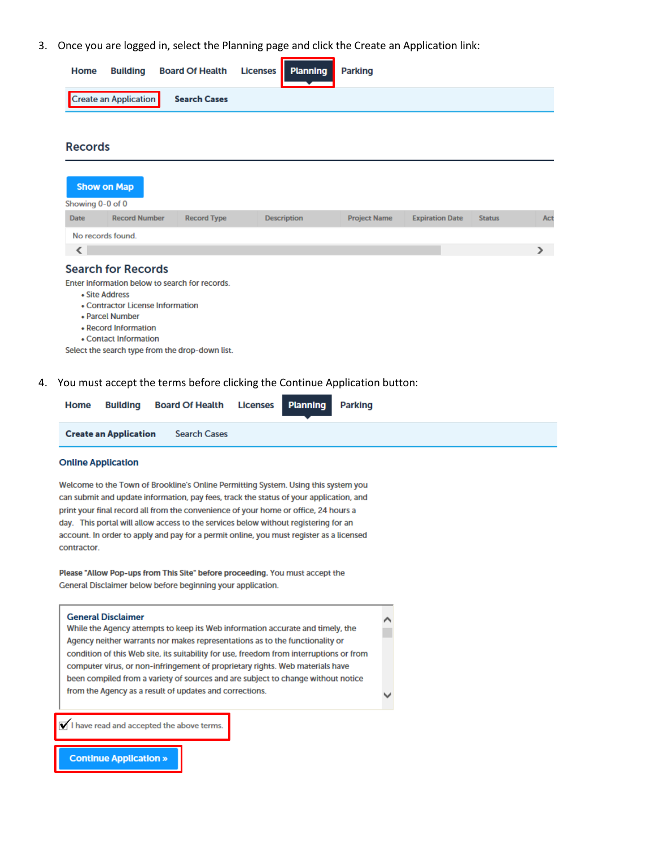3. Once you are logged in, select the Planning page and click the Create an Application link:

| Home | Building Board Of Health Licenses Planning Parking |  |  |
|------|----------------------------------------------------|--|--|
|      | Create an Application Search Cases                 |  |  |
|      |                                                    |  |  |

**Records** 

|                  | <b>Show on Map</b>        |                                                |                    |                     |                        |               |  |
|------------------|---------------------------|------------------------------------------------|--------------------|---------------------|------------------------|---------------|--|
| Showing 0-0 of 0 |                           |                                                |                    |                     |                        |               |  |
| <b>Date</b>      | <b>Record Number</b>      | <b>Record Type</b>                             | <b>Description</b> | <b>Project Name</b> | <b>Expiration Date</b> | <b>Status</b> |  |
|                  | No records found.         |                                                |                    |                     |                        |               |  |
|                  |                           |                                                |                    |                     |                        |               |  |
|                  | <b>Search for Records</b> |                                                |                    |                     |                        |               |  |
|                  |                           | Enter information below to search for records. |                    |                     |                        |               |  |

- Site Address
- Contractor License Information
- Parcel Number
- Record Information
- Contact Information

Select the search type from the drop-down list.

4. You must accept the terms before clicking the Continue Application button:

| Home |                              | <b>Building Board Of Health Licenses Planning Parking</b> |  |  |  |
|------|------------------------------|-----------------------------------------------------------|--|--|--|
|      | <b>Create an Application</b> | Search Cases                                              |  |  |  |

### **Online Application**

Welcome to the Town of Brookline's Online Permitting System. Using this system you can submit and update information, pay fees, track the status of your application, and print your final record all from the convenience of your home or office, 24 hours a day. This portal will allow access to the services below without registering for an account. In order to apply and pay for a permit online, you must register as a licensed contractor.

Please "Allow Pop-ups from This Site" before proceeding. You must accept the General Disclaimer below before beginning your application.

#### **General Disclaimer**

While the Agency attempts to keep its Web information accurate and timely, the Agency neither warrants nor makes representations as to the functionality or condition of this Web site, its suitability for use, freedom from interruptions or from computer virus, or non-infringement of proprietary rights. Web materials have been compiled from a variety of sources and are subject to change without notice from the Agency as a result of updates and corrections.

 $\sqrt{\phantom{a}}$  I have read and accepted the above terms.

**Continue Application »**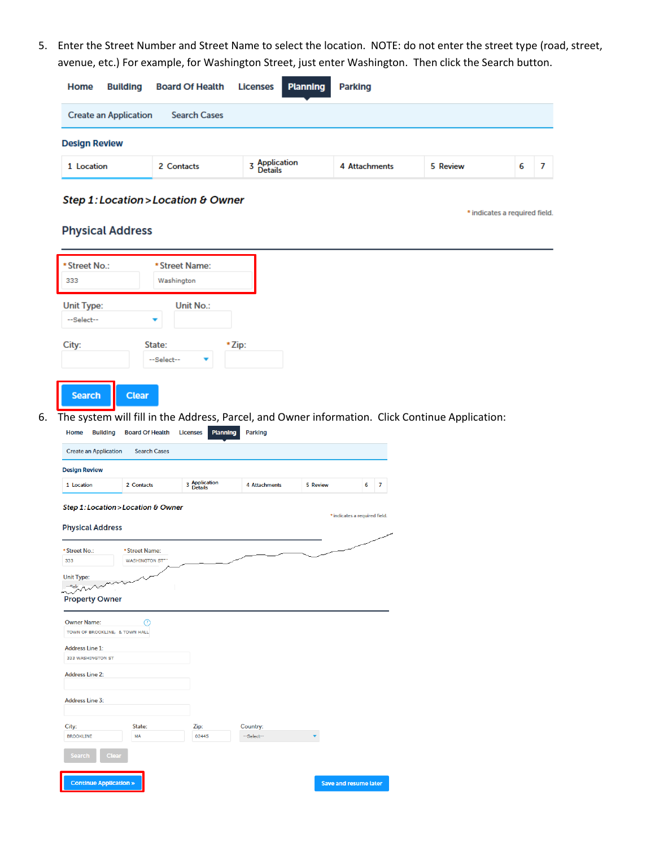5. Enter the Street Number and Street Name to select the location. NOTE: do not enter the street type (road, street, avenue, etc.) For example, for Washington Street, just enter Washington. Then click the Search button.

| Home<br><b>Building</b>      | <b>Board Of Health Licenses</b> | <b>Planning</b>                 | <b>Parking</b> |          |   |  |
|------------------------------|---------------------------------|---------------------------------|----------------|----------|---|--|
| <b>Create an Application</b> | <b>Search Cases</b>             |                                 |                |          |   |  |
| <b>Design Review</b>         |                                 |                                 |                |          |   |  |
| 1 Location                   | 2 Contacts                      | z Application<br><b>Details</b> | 4 Attachments  | 5 Review | 6 |  |

## Step 1: Location > Location & Owner

\* indicates a required field.

## **Physical Address**

| * Street No.:                         |                                                   | * Street Name:              |                                                                                                 |          |                                    |                |  |  |  |
|---------------------------------------|---------------------------------------------------|-----------------------------|-------------------------------------------------------------------------------------------------|----------|------------------------------------|----------------|--|--|--|
| 333                                   | Washington                                        |                             |                                                                                                 |          |                                    |                |  |  |  |
|                                       |                                                   |                             |                                                                                                 |          |                                    |                |  |  |  |
| <b>Unit Type:</b>                     |                                                   | Unit No.:                   |                                                                                                 |          |                                    |                |  |  |  |
| --Select--                            |                                                   |                             |                                                                                                 |          |                                    |                |  |  |  |
|                                       |                                                   |                             |                                                                                                 |          |                                    |                |  |  |  |
| City:                                 | State:                                            |                             | *Zip:                                                                                           |          |                                    |                |  |  |  |
|                                       | --Select--                                        | ▼                           |                                                                                                 |          |                                    |                |  |  |  |
|                                       |                                                   |                             |                                                                                                 |          |                                    |                |  |  |  |
| <b>Search</b>                         | <b>Clear</b>                                      |                             |                                                                                                 |          |                                    |                |  |  |  |
|                                       |                                                   |                             |                                                                                                 |          |                                    |                |  |  |  |
|                                       |                                                   |                             | The system will fill in the Address, Parcel, and Owner information. Click Continue Application: |          |                                    |                |  |  |  |
| Home<br><b>Building</b>               | <b>Board Of Health</b>                            | Planning<br><b>Licenses</b> | <b>Parking</b>                                                                                  |          |                                    |                |  |  |  |
| <b>Create an Application</b>          | <b>Search Cases</b>                               |                             |                                                                                                 |          |                                    |                |  |  |  |
|                                       |                                                   |                             |                                                                                                 |          |                                    |                |  |  |  |
| <b>Design Review</b>                  |                                                   |                             |                                                                                                 |          |                                    |                |  |  |  |
|                                       |                                                   |                             |                                                                                                 |          |                                    |                |  |  |  |
| 1 Location<br><b>Physical Address</b> | 2 Contacts<br>Step 1: Location > Location & Owner | 3 Application<br>Details    | 4 Attachments                                                                                   | 5 Review | 6<br>* indicates a required field. | $\overline{7}$ |  |  |  |
|                                       |                                                   |                             |                                                                                                 |          |                                    |                |  |  |  |
| * Street No.:<br>333                  | * Street Name:<br><b>WASHINGTON STT</b>           |                             |                                                                                                 |          |                                    |                |  |  |  |
|                                       |                                                   |                             |                                                                                                 |          |                                    |                |  |  |  |
| <b>Unit Type:</b><br>$-$ selc         |                                                   |                             |                                                                                                 |          |                                    |                |  |  |  |
| <b>Property Owner</b>                 |                                                   |                             |                                                                                                 |          |                                    |                |  |  |  |
|                                       |                                                   |                             |                                                                                                 |          |                                    |                |  |  |  |
| <b>Owner Name:</b>                    | ℗                                                 |                             |                                                                                                 |          |                                    |                |  |  |  |
| TOWN OF BROOKLINE, & TOWN HALL        |                                                   |                             |                                                                                                 |          |                                    |                |  |  |  |
| <b>Address Line 1:</b>                |                                                   |                             |                                                                                                 |          |                                    |                |  |  |  |
| 333 WASHINGTON ST                     |                                                   |                             |                                                                                                 |          |                                    |                |  |  |  |
| <b>Address Line 2:</b>                |                                                   |                             |                                                                                                 |          |                                    |                |  |  |  |
|                                       |                                                   |                             |                                                                                                 |          |                                    |                |  |  |  |
| <b>Address Line 3:</b>                |                                                   |                             |                                                                                                 |          |                                    |                |  |  |  |
|                                       |                                                   |                             |                                                                                                 |          |                                    |                |  |  |  |
| City:                                 | State:                                            | Zip:                        | Country:                                                                                        |          |                                    |                |  |  |  |
| <b>BROOKLINE</b>                      | MA                                                | 02445                       | --Select--                                                                                      |          |                                    |                |  |  |  |
| <b>Clear</b><br>Search                |                                                   |                             |                                                                                                 |          |                                    |                |  |  |  |
|                                       |                                                   |                             |                                                                                                 |          |                                    |                |  |  |  |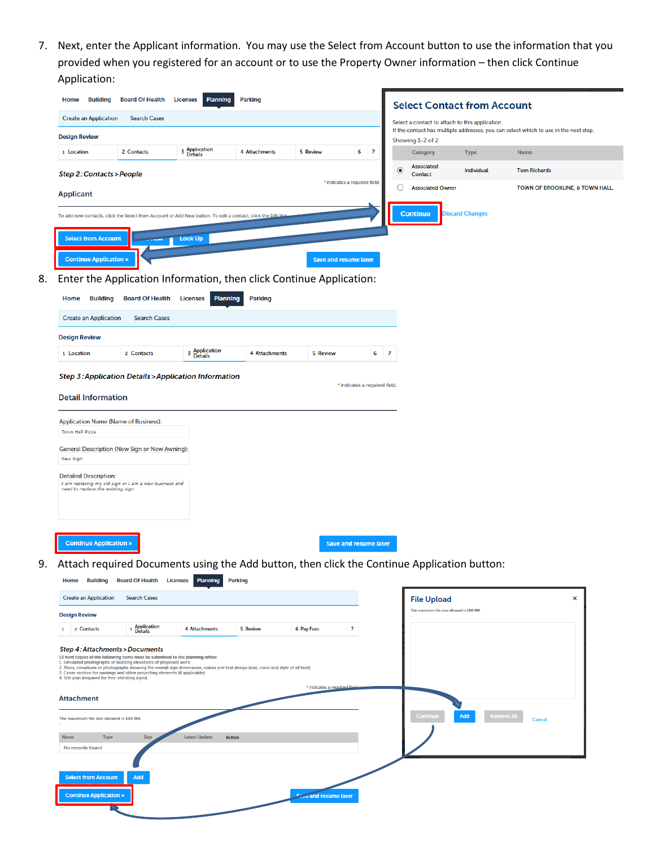7. Next, enter the Applicant information. You may use the Select from Account button to use the information that you provided when you registered for an account or to use the Property Owner information – then click Continue Application:

|    | <b>Building</b><br>Home                                                                                                                                                                                                                                                                      | <b>Board Of Health</b>                          | <b>Planning</b><br><b>Licenses</b>    | <b>Parking</b> |                              |                               |                | <b>Select Contact from Account</b>              |                          |                                                                                      |
|----|----------------------------------------------------------------------------------------------------------------------------------------------------------------------------------------------------------------------------------------------------------------------------------------------|-------------------------------------------------|---------------------------------------|----------------|------------------------------|-------------------------------|----------------|-------------------------------------------------|--------------------------|--------------------------------------------------------------------------------------|
|    | <b>Create an Application</b>                                                                                                                                                                                                                                                                 | <b>Search Cases</b>                             |                                       |                |                              |                               |                | Select a contact to attach to this application. |                          |                                                                                      |
|    | <b>Design Review</b>                                                                                                                                                                                                                                                                         |                                                 |                                       |                |                              |                               |                |                                                 |                          | If the contact has multiple addresses, you can select which to use in the next step. |
|    | 1 Location                                                                                                                                                                                                                                                                                   | 2 Contacts                                      | <b>3</b> Application<br>Details       | 4 Attachments  | 5 Review                     | 6<br>$\overline{7}$           |                | Showing 1-2 of 2<br>Category                    | <b>Type</b>              | <b>Name</b>                                                                          |
|    | Step 2: Contacts > People                                                                                                                                                                                                                                                                    |                                                 |                                       |                |                              |                               | o              | <b>Associated</b><br>Contact                    | Individual               | <b>Tom Richards</b>                                                                  |
|    | <b>Applicant</b>                                                                                                                                                                                                                                                                             |                                                 |                                       |                |                              | * indicates a required field. |                | <b>Associated Owner</b>                         |                          | TOWN OF BROOKLINE, & TOWN HALL,                                                      |
|    |                                                                                                                                                                                                                                                                                              |                                                 |                                       |                |                              |                               |                |                                                 |                          |                                                                                      |
|    | To add new contacts, click the Select from Account or Add New button. To edit a contact, click the Edit lin                                                                                                                                                                                  |                                                 |                                       |                |                              |                               |                | <b>Continue</b>                                 | <b>Discard Changes</b>   |                                                                                      |
|    | <b>Select from Account</b>                                                                                                                                                                                                                                                                   |                                                 | <b>Look Up</b>                        |                |                              |                               |                |                                                 |                          |                                                                                      |
|    | <b>Continue Application »</b>                                                                                                                                                                                                                                                                |                                                 |                                       |                |                              | <b>Save and resume later</b>  |                |                                                 |                          |                                                                                      |
| 8. | Enter the Application Information, then click Continue Application:                                                                                                                                                                                                                          |                                                 |                                       |                |                              |                               |                |                                                 |                          |                                                                                      |
|    | <b>Building</b><br>Home                                                                                                                                                                                                                                                                      | <b>Board Of Health</b>                          | <b>Licenses</b><br><b>Planning</b>    | <b>Parking</b> |                              |                               |                |                                                 |                          |                                                                                      |
|    | <b>Create an Application</b>                                                                                                                                                                                                                                                                 | <b>Search Cases</b>                             |                                       |                |                              |                               |                |                                                 |                          |                                                                                      |
|    | <b>Design Review</b>                                                                                                                                                                                                                                                                         |                                                 |                                       |                |                              |                               |                |                                                 |                          |                                                                                      |
|    | 1 Location                                                                                                                                                                                                                                                                                   | 2 Contacts                                      | <b>3</b> Application<br>Details       | 4 Attachments  | 5 Review                     | 6                             | $\overline{7}$ |                                                 |                          |                                                                                      |
|    |                                                                                                                                                                                                                                                                                              |                                                 |                                       |                |                              |                               |                |                                                 |                          |                                                                                      |
|    | Step 3: Application Details > Application Information                                                                                                                                                                                                                                        |                                                 |                                       |                |                              | * indicates a required field. |                |                                                 |                          |                                                                                      |
|    | <b>Detail Information</b>                                                                                                                                                                                                                                                                    |                                                 |                                       |                |                              |                               |                |                                                 |                          |                                                                                      |
|    | <b>Application Name (Name of Business):</b><br><b>Town Hall Pizza</b>                                                                                                                                                                                                                        |                                                 |                                       |                |                              |                               |                |                                                 |                          |                                                                                      |
|    | <b>General Description (New Sign or New Awning):</b>                                                                                                                                                                                                                                         |                                                 |                                       |                |                              |                               |                |                                                 |                          |                                                                                      |
|    | New Sign                                                                                                                                                                                                                                                                                     |                                                 |                                       |                |                              |                               |                |                                                 |                          |                                                                                      |
|    | <b>Detailed Description:</b>                                                                                                                                                                                                                                                                 |                                                 |                                       |                |                              |                               |                |                                                 |                          |                                                                                      |
|    | I am replacing my old sign or I am a new business and<br>need to replace the existing sign                                                                                                                                                                                                   |                                                 |                                       |                |                              |                               |                |                                                 |                          |                                                                                      |
|    |                                                                                                                                                                                                                                                                                              |                                                 |                                       |                |                              |                               |                |                                                 |                          |                                                                                      |
|    |                                                                                                                                                                                                                                                                                              |                                                 |                                       |                |                              |                               |                |                                                 |                          |                                                                                      |
|    | <b>Continue Application »</b>                                                                                                                                                                                                                                                                |                                                 |                                       |                |                              | <b>Save and resume later</b>  |                |                                                 |                          |                                                                                      |
|    |                                                                                                                                                                                                                                                                                              |                                                 |                                       |                |                              |                               |                |                                                 |                          |                                                                                      |
|    | 9. Attach required Documents using the Add button, then click the Continue Application button:                                                                                                                                                                                               |                                                 |                                       |                |                              |                               |                |                                                 |                          |                                                                                      |
|    |                                                                                                                                                                                                                                                                                              | Home Building Board Of Health Licenses Planning |                                       | <b>Parking</b> |                              |                               |                |                                                 |                          |                                                                                      |
|    | <b>Create an Application</b>                                                                                                                                                                                                                                                                 | <b>Search Cases</b>                             |                                       |                |                              |                               |                | <b>File Upload</b>                              |                          | ×                                                                                    |
|    | <b>Design Review</b>                                                                                                                                                                                                                                                                         |                                                 |                                       |                |                              |                               |                | The maximum file size allowed is 100 MB.        |                          |                                                                                      |
|    | 1 2 Contacts                                                                                                                                                                                                                                                                                 | <sup>3</sup> Application                        | 4 Attachments                         | 5 Review       | 6 Pay Fees                   | $\overline{7}$                |                |                                                 |                          |                                                                                      |
|    | <b>Step 4: Attachments &gt; Documents</b>                                                                                                                                                                                                                                                    |                                                 |                                       |                |                              |                               |                |                                                 |                          |                                                                                      |
|    | 13 hard copies of the following items must be submitted to the planning office:<br>1. Simulated photographs or building elevations of proposed work;<br>2. Plans, elevations or photographs showing the overall sign dimensions, colors and text design (size, color and style of all text); |                                                 |                                       |                |                              |                               |                |                                                 |                          |                                                                                      |
|    | 3. Cross-section for awnings and other projecting elements (if applicable);<br>4. Site plan (required for free-standing signs)                                                                                                                                                               |                                                 |                                       |                |                              |                               |                |                                                 |                          |                                                                                      |
|    | <b>Attachment</b>                                                                                                                                                                                                                                                                            |                                                 |                                       |                | * indicates a required field |                               |                |                                                 |                          |                                                                                      |
|    |                                                                                                                                                                                                                                                                                              |                                                 |                                       |                |                              |                               |                | Continue                                        | <b>Remove All</b><br>Add |                                                                                      |
|    | The maximum file size allowed is 100 MB.                                                                                                                                                                                                                                                     |                                                 |                                       |                |                              |                               |                |                                                 |                          | Cancel                                                                               |
|    | Name<br><b>Type</b>                                                                                                                                                                                                                                                                          | <b>Size</b>                                     | <b>Latest Update</b><br><b>Action</b> |                |                              |                               |                |                                                 |                          |                                                                                      |
|    | No records found.                                                                                                                                                                                                                                                                            |                                                 |                                       |                |                              |                               |                |                                                 |                          |                                                                                      |
|    | <b>Select from Account</b>                                                                                                                                                                                                                                                                   | Add                                             |                                       |                |                              |                               |                |                                                 |                          |                                                                                      |
|    |                                                                                                                                                                                                                                                                                              |                                                 |                                       |                |                              |                               |                |                                                 |                          |                                                                                      |
|    | <b>Continue Application »</b>                                                                                                                                                                                                                                                                |                                                 |                                       |                | <b>Coverand resume later</b> |                               |                |                                                 |                          |                                                                                      |
|    |                                                                                                                                                                                                                                                                                              |                                                 |                                       |                |                              |                               |                |                                                 |                          |                                                                                      |